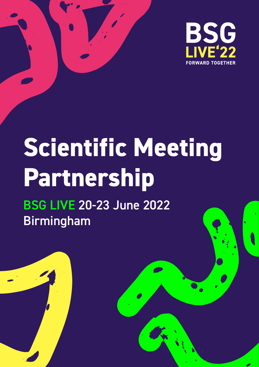

# **Scientific Meeting Partnership**

BSG LIVE 20-23 June 2022 Birmingham

**1 Scientific Meeting Partnerships |** BSG LIVE 20-23 June 2022 Birmingham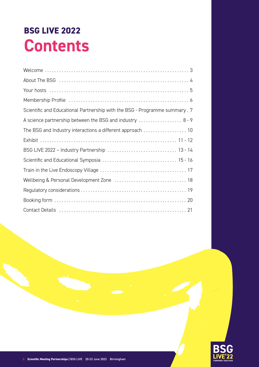### **BSG LIVE 2022 Contents**

| Scientific and Educational Partnership with the BSG - Programme summary. 7 |
|----------------------------------------------------------------------------|
| A science partnership between the BSG and industry  8-9                    |
| The BSG and Industry interactions a different approach  10                 |
|                                                                            |
|                                                                            |
|                                                                            |
|                                                                            |
|                                                                            |
|                                                                            |
|                                                                            |
|                                                                            |

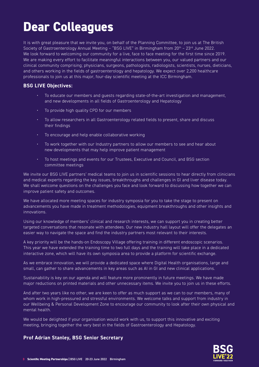### **Dear Colleagues**

It is with great pleasure that we invite you, on behalf of the Planning Committee, to join us at The British Society of Gastroenterology Annual Meeting - "BSG LIVE" in Birmingham from 20<sup>th</sup> - 23<sup>rd</sup> June 2022. We look forward to welcoming our community for a live, face to face meeting for the first time since 2019. We are making every effort to facilitate meaningful interactions between you, our valued partners and our clinical community comprising; physicians, surgeons, pathologists, radiologists, scientists, nurses, dieticians, and others working in the fields of gastroenterology and hepatology. We expect over 2,200 healthcare professionals to join us at this major, four-day scientific meeting at the ICC Birmingham.

#### **BSG LIVE Objectives:**

- To educate our members and guests regarding state-of-the-art investigation and management, and new developments in all fields of Gastroenterology and Hepatology
- To provide high quality CPD for our members
- To allow researchers in all Gastroenterology related fields to present, share and discuss their findings
- To encourage and help enable collaborative working
- To work together with our Industry partners to allow our members to see and hear about new developments that may help improve patient management
- To host meetings and events for our Trustees, Executive and Council, and BSG section committee meetings

We invite our BSG LIVE partners' medical teams to join us in scientific sessions to hear directly from clinicians and medical experts regarding the key issues, breakthroughs and challenges in GI and liver disease today. We shall welcome questions on the challenges you face and look forward to discussing how together we can improve patient safety and outcomes.

We have allocated more meeting spaces for industry symposia for you to take the stage to present on advancements you have made in treatment methodologies, equipment breakthroughs and other insights and innovations.

Using our knowledge of members' clinical and research interests, we can support you in creating better targeted conversations that resonate with attendees. Our new industry hall layout will offer the delegates an easier way to navigate the space and find the industry partners most relevant to their interests.

A key priority will be the hands-on Endoscopy Village offering training in different endoscopic scenarios. This year we have extended the training time to two full days and the training will take place in a dedicated interactive zone, which will have its own symposia area to provide a platform for scientific exchange.

As we embrace innovation, we will provide a dedicated space where Digital Health organisations, large and small, can gather to share advancements in key areas such as AI in GI and new clinical applications.

Sustainability is key on our agenda and will feature more prominently in future meetings. We have made major reductions on printed materials and other unnecessary items. We invite you to join us in these efforts.

And after two years like no other, we are keen to offer as much support as we can to our members, many of whom work in high-pressured and stressful environments. We welcome talks and support from industry in our Wellbeing & Personal Development Zone to encourage our community to look after their own physical and mental health.

We would be delighted if your organisation would work with us, to support this innovative and exciting meeting, bringing together the very best in the fields of Gastroenterology and Hepatology.

#### **Prof Adrian Stanley, BSG Senior Secretary**

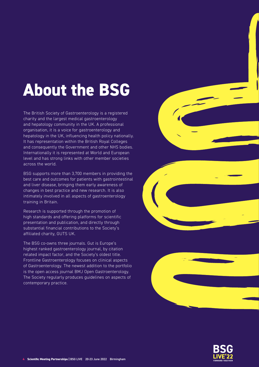### **About the BSG**

The British Society of Gastroenterology is a registered charity and the largest medical gastroenterology and hepatology community in the UK. A professional organisation, it is a voice for gastroenterology and hepatology in the UK, influencing health policy nationally. It has representation within the British Royal Colleges and consequently the Government and other NHS bodies. Internationally it is represented at World and European level and has strong links with other member societies across the world.

BSG supports more than 3,700 members in providing the best care and outcomes for patients with gastrointestinal and liver disease, bringing them early awareness of changes in best practice and new research. It is also intimately involved in all aspects of gastroenterology training in Britain.

Research is supported through the promotion of high standards and offering platforms for scientific presentation and publication, and directly through substantial financial contributions to the Society's affiliated charity, GUTS UK.

The BSG co-owns three journals. Gut is Europe's highest ranked gastroenterology journal, by citation related impact factor, and the Society's oldest title. Frontline Gastroenterology focuses on clinical aspects of Gastroenterology. The newest addition to the portfolio is the open access journal BMJ Open Gastroenterology. The Society regularly produces guidelines on aspects of contemporary practice.



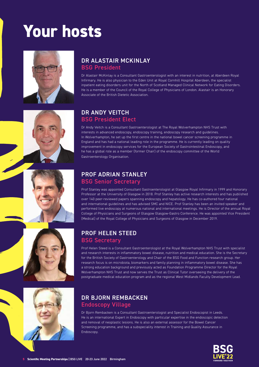## **Your hosts**









#### DR ALASTAIR MCKINLAY BSG President

Dr Alastair McKinlay is a Consultant Gastroenterologist with an interest in nutrition, at Aberdeen Royal Infirmary. He is also physician to the Eden Unit at Royal Cornhill Hospital Aberdeen, the specialist inpatient eating disorders unit for the North of Scotland Managed Clinical Network for Eating Disorders. He is a member of the Council of the Royal College of Physicians of London. Alastair is an Honorary Associate of the British Dietetic Association.

#### DR ANDY VEITCH BSG President Elect

Dr Andy Veitch is a Consultant Gastroenterologist at The Royal Wolverhampton NHS Trust with interests in advanced endoscopy, endoscopy training, endoscopy research and guidelines.  In Wolverhampton, he set up the first centre in the national bowel cancer screening programme in England and has had a national leading role in the programme. He is currently leading on quality improvement in endoscopy services for the European Society of Gastrointestinal Endoscopy, and he has a global role as a member (former Chair) of the endoscopy committee of the World Gastroenterology Organisation.

#### PROF ADRIAN STANLEY

#### BSG Senior Secretary

Prof Stanley was appointed Consultant Gastroenterologist at Glasgow Royal Infirmary in 1999 and Honorary Professor at the University of Glasgow in 2018. Prof Stanley has active research interests and has published over 140 peer-reviewed papers spanning endoscopy and hepatology. He has co-authored four national and international guidelines and has advised SMC and NICE. Prof Stanley has been an invited speaker and performed live endoscopy at numerous national and international meetings. He is Director of the annual Royal College of Physicians and Surgeons of Glasgow Glasgow-Gastro Conference. He was appointed Vice President (Medical) of the Royal College of Physicians and Surgeons of Glasgow in December 2019.

#### PROF HELEN STEED BSG Secretary

Prof Helen Steed is a Consultant Gastroenterologist at the Royal Wolverhampton NHS Trust with specialist and research interests in inflammatory bowel disease, nutrition and medical education. She is the Secretary for the British Society of Gastroenterology and Chair of the BSG Food and Function research group. Her research focus is on microbiota, biomarkers and family planning in inflammatory bowel disease. She has a strong education background and previously acted as Foundation Programme Director for the Royal Wolverhampton NHS Trust and now serves the Trust as Clinical Tutor overseeing the delivery of the postgraduate medical education program and as the regional West Midlands Faculty Development Lead.

#### DR BJORN REMBACKEN Endoscopy Village

Dr Bjorn Rembacken is a Consultant Gastroenterologist and Specialist Endoscopist in Leeds. He is an international Expert in Endoscopy with particular expertise in the endoscopic detection and removal of neoplastic lesions. He is also an external assessor for the Bowel Cancer Screening programme, and has a subspeciality interest in Training and Quality Assurance in Endoscopy.

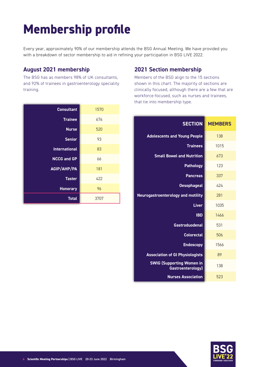### **Membership profile**

Every year, approximately 90% of our membership attends the BSG Annual Meeting. We have provided you with a breakdown of sector membership to aid in refining your participation in BSG LIVE 2022.

#### **August 2021 membership**

The BSG has as members 98% of UK consultants, and 92% of trainees in gastroenterology speciality training.

| <b>Consultant</b>    | 1570 |
|----------------------|------|
| <b>Trainee</b>       | 676  |
| <b>Nurse</b>         | 520  |
| <b>Senior</b>        | 93   |
| <b>International</b> | 83   |
| <b>NCCG</b> and GP   | 66   |
| <b>AGIP/AHP/PA</b>   | 181  |
| <b>Taster</b>        | 422  |
| <b>Honorary</b>      | 96   |
| <b>Total</b>         | 3707 |

#### **2021 Section membership**

Members of the BSG align to the 15 sections shown in this chart. The majority of sections are clinically focused, although there are a few that are workforce-focused, such as nurses and trainees, that tie into membership type.

| <b>SECTION</b>                                        | <b>MEMBERS</b> |
|-------------------------------------------------------|----------------|
| <b>Adolescents and Young People</b>                   | 138            |
| <b>Trainees</b>                                       | 1015           |
| <b>Small Bowel and Nutrition</b>                      | 673            |
| <b>Pathology</b>                                      | 123            |
| <b>Pancreas</b>                                       | 337            |
| <b>Oesophageal</b>                                    | 424            |
| <b>Neurogastroenterology and motility</b>             | 281            |
| <b>Liver</b>                                          | 1035           |
| <b>IBD</b>                                            | 1466           |
| <b>Gastroduodenal</b>                                 | 531            |
| <b>Colorectal</b>                                     | 506            |
| <b>Endoscopy</b>                                      | 1566           |
| <b>Association of GI Physiologists</b>                | 89             |
| <b>SWIG (Supporting Women in</b><br>Gastroenterology) | 138            |
| <b>Nurses Association</b>                             | 523            |

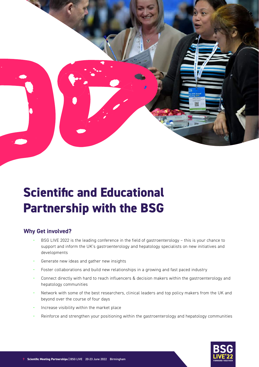

### **Scientific and Educational Partnership with the BSG**

#### **Why Get involved?**

- BSG LIVE 2022 is the leading conference in the field of gastroenterology this is your chance to support and inform the UK's gastroenterology and hepatology specialists on new initiatives and developments
- Generate new ideas and gather new insights
- Foster collaborations and build new relationships in a growing and fast paced industry
- Connect directly with hard to reach influencers & decision makers within the gastroenterology and hepatology communities
- Network with some of the best researchers, clinical leaders and top policy makers from the UK and beyond over the course of four days
- Increase visibility within the market place
- Reinforce and strengthen your positioning within the gastroenterology and hepatology communities

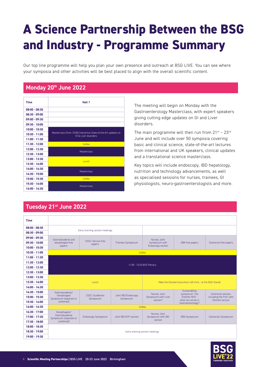### **A Science Partnership Between the BSG and Industry - Programme Summary**

Our top line programme will help you plan your own presence and outreach at BSG LIVE. You can see where your symposia and other activities will be best placed to align with the overall scientific content.

#### **Monday 20th June 2022**

| Time            | Hall 1                                                                                   |
|-----------------|------------------------------------------------------------------------------------------|
| $08:00 - 08:30$ |                                                                                          |
| $08:30 - 09:00$ |                                                                                          |
| $09:00 - 09:30$ |                                                                                          |
| $09:30 - 10:00$ |                                                                                          |
| $10:00 - 10:30$ |                                                                                          |
| $10:30 - 11:00$ | Masterclass (from 10:00) Interactive State-of-the-Art updates on<br>GI & Liver disorders |
| 11:00 - 11:30   |                                                                                          |
| $11:30 - 12:00$ | Coffee                                                                                   |
| 12:00 - 12:30   | Masterclass                                                                              |
| 12:30 - 13:00   |                                                                                          |
| 13:00 - 13:30   | <b>Lunch</b>                                                                             |
| $13:30 - 14:00$ |                                                                                          |
| $14:00 - 14:30$ | Masterclass                                                                              |
| $14:30 - 15:00$ |                                                                                          |
| 15:00 - 15:30   | Coffee                                                                                   |
| 15:30 - 16:00   | Masterclass                                                                              |
| 16:00 - 16:30   |                                                                                          |

**Tuesday 21st June 2022**

The meeting will begin on Monday with the Gastroenterology Masterclass, with expert speakers giving cutting edge updates on GI and Liver disorders.

The main programme will then run from  $21^{st}$  -  $23^{rd}$ June and will include over 50 symposia covering basic and clinical science, state-of-the-art lectures from international and UK speakers, clinical updates and a translational science masterclass.

Key topics will include endoscopy, IBD hepatology, nutrition and technology advancements, as well as specialised sessions for nurses, trainees, GI physiologists, neuro-gastroenterologists and more.

| ________        |                                          |                                      |                                  |                                     |                                                           |                         |
|-----------------|------------------------------------------|--------------------------------------|----------------------------------|-------------------------------------|-----------------------------------------------------------|-------------------------|
|                 |                                          |                                      |                                  |                                     |                                                           |                         |
| <b>Time</b>     |                                          |                                      |                                  |                                     |                                                           |                         |
| $08:00 - 08:30$ |                                          | Early morning section meetings       |                                  |                                     |                                                           |                         |
| $08:30 - 09:00$ |                                          |                                      |                                  |                                     |                                                           |                         |
| $09:00 - 09:30$ | Gastroduodenal and                       |                                      |                                  | Nurses Joint                        |                                                           |                         |
| $09:30 - 10:00$ | oesophageal free                         | CSSC: Service free<br>papers         | Trainees Symposium               | Symposium with<br>Endoscopy section | SBN free papers                                           | Colorectal free papers  |
| $10:00 - 10:30$ | papers                                   |                                      |                                  |                                     |                                                           |                         |
| $10:30 - 11:00$ |                                          |                                      | Coffee                           |                                     |                                                           |                         |
| $11:00 - 11:30$ |                                          |                                      |                                  |                                     |                                                           |                         |
| 11:30 - 12:00   |                                          |                                      |                                  | 11:00 - 12:45 BSG Plenary           |                                                           |                         |
| 12:00 - 12:30   |                                          |                                      |                                  |                                     |                                                           |                         |
| 12:30 - 13:00   |                                          |                                      |                                  |                                     |                                                           |                         |
|                 |                                          |                                      |                                  |                                     |                                                           |                         |
| $13:00 - 13:30$ |                                          |                                      |                                  |                                     |                                                           |                         |
| 13:30 - 14:00   |                                          | Lunch                                |                                  |                                     | Meet the Elected Councillors (45 mins - at the BSG Stand) |                         |
| 14:00 - 14:30   |                                          |                                      |                                  |                                     |                                                           |                         |
| $14:30 - 15:00$ | Gastroduodenal/                          |                                      |                                  | Nurses Joint                        | Sustainability<br>symposium: The                          | Colorectal session,     |
| 15:00 - 15:30   | Oesophageal<br>Symposium (separate or    | <b>CSSC: Guidelines</b><br>Symposium | Joint IBD/Endoscopy<br>Symposium | Symposium with Liver                | Greener NHS -                                             | including the Prof John |
| 15:30 - 16:00   | combined)                                |                                      |                                  | section?                            | what can we do in<br>Gastroenterology?                    | Nicholls lecture        |
| $16:00 - 16:30$ |                                          |                                      | Coffee                           |                                     |                                                           |                         |
| $16:30 - 17:00$ | Oesophageal/                             |                                      |                                  | Nurses Joint                        |                                                           |                         |
| 17:00 - 17:30   | Gastroduodenal<br>Symposium (separate or | Endoscopy Symposium                  | Joint IBD/AYP session            | Symposium with IBD                  | <b>SBN Symposium</b>                                      | Colorectal Symposium    |
| 17:30 - 18:00   | combined)                                |                                      |                                  | section                             |                                                           |                         |
| 18:00 - 18:30   |                                          |                                      |                                  |                                     |                                                           |                         |
| 18:30 - 19:00   |                                          |                                      |                                  | Early evening section meetings      |                                                           |                         |

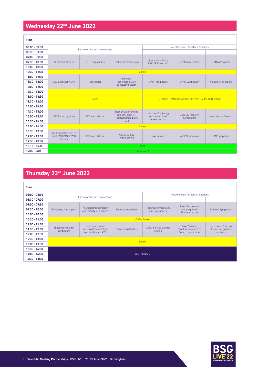#### **Wednesday 22nd June 2022**

| <b>Time</b>     |                                |                          |                                          |                                         |                                                           |                       |
|-----------------|--------------------------------|--------------------------|------------------------------------------|-----------------------------------------|-----------------------------------------------------------|-----------------------|
| $08:00 - 08:30$ | Early morning section meetings |                          |                                          | Meet the Expert Breakfast Sessions      |                                                           |                       |
| $08:30 - 09:00$ |                                |                          |                                          |                                         |                                                           |                       |
| $09:00 - 09:30$ |                                |                          |                                          |                                         |                                                           |                       |
| $09:30 - 10:00$ | <b>BSG Endoscopy Live</b>      | IBD - Free papers        | Pathology Symposium                      | Liver - Joint EASL/<br>BASL/BSG session | Mentoring session                                         | <b>SBN Symposium</b>  |
| $10:00 - 10:30$ |                                |                          |                                          |                                         |                                                           |                       |
| $10:30 - 11:00$ |                                |                          | Coffee                                   |                                         |                                                           |                       |
| $11:00 - 11:30$ |                                |                          | Pathology -                              |                                         |                                                           |                       |
| $11:30 - 12:00$ | <b>BSG Endoscopy Live</b>      | <b>IBD</b> session       | pancreato-biliary                        | Liver Free papers                       | SWIG Symposium                                            | Nursing Free papers   |
| 12:00 - 12:30   |                                |                          | pathology session                        |                                         |                                                           |                       |
| 12:30 - 13:00   |                                |                          |                                          |                                         |                                                           |                       |
| $13:00 - 13:30$ | <b>Lunch</b>                   |                          |                                          |                                         | Meet the Elected Councillors (45 mins - at the BSG Stand) |                       |
| $13:30 - 14:00$ |                                |                          |                                          |                                         |                                                           |                       |
| $14:00 - 14:30$ |                                |                          |                                          |                                         |                                                           |                       |
| $14:30 - 15:00$ |                                |                          | Best of Gut, Frontline                   | Joint liver/pathology                   |                                                           |                       |
| 15:00 - 15:30   | <b>BSG Endoscopy Live</b>      | <b>IBD</b> international | and BMJ open $+/-$<br>Feedback from DDW. | section incl Basil                      | Guts UK research<br>Symposium                             | International Session |
| 15:30 - 16:00   |                                |                          | <b>FASI</b>                              | Morson lecture                          |                                                           |                       |
| $16:00 - 16:30$ |                                |                          | Coffee                                   |                                         |                                                           |                       |
| $16:30 - 17:00$ | BSG Endoscopy Live +/-         |                          |                                          |                                         |                                                           |                       |
| 17:00 - 17:30   | Joint SWIG/ASGE WIG            | <b>IBD</b> international | <b>CSSC: Quality</b><br>Improvement      | Liver session                           | <b>AGIP Symposium</b>                                     | <b>NGM Symposium</b>  |
| 17:30 - 18:00   | session                        |                          |                                          |                                         |                                                           |                       |
| $18.15 - 19.00$ | <b>AGM</b>                     |                          |                                          |                                         |                                                           |                       |
| 19:00 - Late    | Social event                   |                          |                                          |                                         |                                                           |                       |

#### **Thursday 23rd June 2022**

| <b>Time</b>     |                                |                                                   |                            |                                        |                                    |                         |
|-----------------|--------------------------------|---------------------------------------------------|----------------------------|----------------------------------------|------------------------------------|-------------------------|
| $08:00 - 08:30$ |                                |                                                   |                            |                                        | Meet the Expert Breakfast Sessions |                         |
| $08:30 - 09:00$ |                                | Early morning section meetings                    |                            |                                        |                                    |                         |
| $09:00 - 09:30$ |                                |                                                   |                            |                                        | Liver Symposium                    |                         |
| $09:30 - 10:00$ | Endoscopy free papers          | Neurogastroenterology<br>and motility free papers | <b>Science Masterclass</b> | Pancreas Symposium<br>incl Free papers | including Sheila                   | Trainees Symposium      |
| $10:00 - 10:30$ |                                |                                                   |                            |                                        | Sherlock lecture                   |                         |
| $10:30 - 11:00$ |                                |                                                   | <b>Coffee Break</b>        |                                        |                                    |                         |
| $11:00 - 11:30$ |                                | Joint symposium -                                 |                            |                                        | Liver Session:                     | How to avoid "burnout"  |
| $11:30 - 12:00$ | Endoscopy section<br>symposium | Neurogastroenterology                             | Science Masterclass        | CSSC: Service success<br>stories       | "Contoversies in" or               | - A practical quide for |
| $12:00 - 12:30$ |                                | and motility and AYP                              |                            |                                        | Grand round / other                | cinicians.              |
| $12:30 - 13:00$ |                                |                                                   |                            |                                        |                                    |                         |
| $13:00 - 13:30$ | Lunch                          |                                                   |                            |                                        |                                    |                         |
| $13:30 - 14:00$ |                                |                                                   |                            |                                        |                                    |                         |
| $14:00 - 14:30$ |                                |                                                   | <b>BSG Plenary 2</b>       |                                        |                                    |                         |
| 14:30 - 15:00   |                                |                                                   |                            |                                        |                                    |                         |

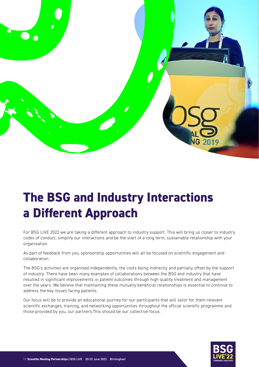

### **The BSG and Industry Interactions a Different Approach**

For BSG LIVE 2022 we are taking a different approach to industry support. This will bring us closer to industry codes of conduct, simplify our interactions and be the start of a long term, sustainable relationship with your organisation.

As part of feedback from you, sponsorship opportunities will all be focused on scientific engagement and collaboration.

The BSG's activities are organised independently, the costs being indirectly and partially offset by the support of industry. There have been many examples of collaborations between the BSG and industry that have resulted in significant improvements in patient outcomes through high quality treatment and management over the years. We believe that maintaining these mutually beneficial relationships is essential to continue to address the key issues facing patients.

Our focus will be to provide an educational journey for our participants that will tailor for them relevant scientific exchanges, training, and networking opportunities throughout the official scientific programme and those provided by you, our partners.This should be our collective focus.

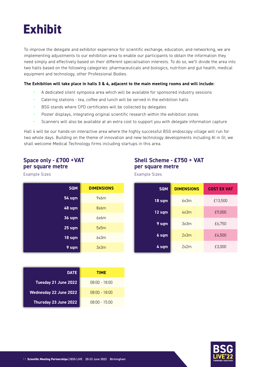

To improve the delegate and exhibitor experience for scientific exchange, education, and networking, we are implementing adjustments to our exhibition area to enable our participants to obtain the information they need simply and effectively based on their different specialisation interests. To do so, we'll divide the area into two halls based on the following categories: pharmaceuticals and biologics, nutrition and gut health, medical equipment and technology, other Professional Bodies.

#### **The Exhibition will take place in halls 3 & 4, adjacent to the main meeting rooms and will include:**

- A dedicated silent symposia area which will be available for sponsored industry sessions
- Catering stations tea, coffee and lunch will be served in the exhibition halls
- BSG stands where CPD certificates will be collected by delegates
- Poster displays, integrating original scientific research within the exhibition zones
- Scanners will also be available at an extra cost to support you with delegate information capture

Hall 4 will be our hands-on interactive area where the highly successful BSG endoscopy village will run for two whole days. Building on the theme of innovation and new technology developments including AI in GI, we shall welcome Medical Technology firms including startups in this area.

#### **Space only - £700 +VAT per square metre**

#### **Shell Scheme - £750 + VAT per square metre**

Example Sizes

Example Sizes

| <b>SQM</b>        | <b>DIMENSIONS</b> |
|-------------------|-------------------|
| <b>54 sqm</b>     | 9x6m              |
| 48 sqm            | 8x6m              |
| 36 sqm            | 6x6m              |
| 25 <sub>sgm</sub> | 5x5m              |
| 18 <sub>sgm</sub> | 6x3m              |
| 9 sqm             | 3x3m              |

| <b>SQM</b> | <b>DIMENSIONS</b> | <b>COST EX VAT</b> |
|------------|-------------------|--------------------|
| 18 sqm     | 6x3m              | £13,500            |
| 12 sqm     | 4x3m              | £9,000             |
|            |                   |                    |

| $18$ sqm | 6x3m | £13,500 |
|----------|------|---------|
| 12 sqm   | 4x3m | £9,000  |
| 9 sqm    | 3x3m | £6,750  |
| 6 sqm    | 2x3m | £4,500  |
| 4 sqm    | 2x2m | £3,000  |

| <b>DATE</b>                   | TIME                  |
|-------------------------------|-----------------------|
| Tuesday 21 June 2022          | <u> NR:NO – 18:NO</u> |
| <b>Wednesday 22 June 2022</b> | <u>NR:NO - 18:NO</u>  |
| Thursday 23 June 2022         | $08:00 - 15:00$       |

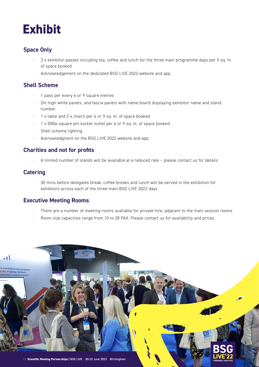### **Exhibit**

#### **Space Only**

- 2 x exhibitor passes including tea, coffee and lunch for the three main programme days per 9 sq. m. of space booked
- Acknowledgement on the dedicated BSG LIVE 2022 website and app

#### **Shell Scheme**

- 1 pass per every 6 or 9 square metres
- 2m high white panels, and fascia panels with name board displaying exhibitor name and stand number
- 1 x table and 2 x chairs per 6 or 9 sq. m. of space booked
- 1 x 500w square pin socket outlet per 6 or 9 sq. m. of space booked
- Shell scheme lighting
- Acknowledgment on the BSG LIVE 2022 website and app

#### **Charities and not for profits**

• A limited number of stands will be available at a reduced rate – please contact us for details

#### **Catering**

• 30 mins before delegates break, coffee breaks and lunch will be served in the exhibition for exhibitors across each of the three main BSG LIVE 2022 days

#### **Executive Meeting Rooms**

- There are a number of meeting rooms available for private hire, adjacent to the main session rooms
- Room size capacities range from 10 to 28 PAX. Please contact us for availability and prices.

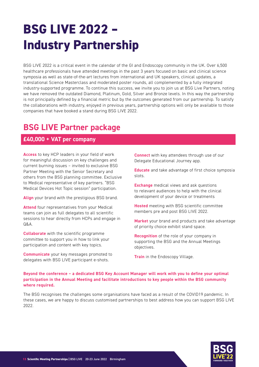### **BSG LIVE 2022 – Industry Partnership**

BSG LIVE 2022 is a critical event in the calendar of the GI and Endoscopy community in the UK. Over 6,500 healthcare professionals have attended meetings in the past 3 years focused on basic and clinical science symposia as well as state-of-the-art lectures from international and UK speakers, clinical updates, a translational Science Masterclass and moderated poster rounds, all complemented by a fully integrated industry-supported programme. To continue this success, we invite you to join us at BSG Live Partners, noting we have removed the outdated Diamond, Platinum, Gold, Silver and Bronze levels. In this way the partnership is not principally defined by a financial metric but by the outcomes generated from our partnership. To satisfy the collaborations with industry, enjoyed in previous years, partnership options will only be available to those companies that have booked a stand during BSG LIVE 2022.

#### **BSG LIVE Partner package**

#### **£40,000 + VAT per company**

**Access** to key HCP leaders in your field of work for meaningful discussion on key challenges and current burning issues – invited to exclusive BSG Partner Meeting with the Senior Secretary and others from the BSG planning committee. Exclusive to Medical representative of key partners. "BSG Medical Devices Hot Topic session" participation.

**Align** your brand with the prestigious BSG brand.

**Attend** four representatives from your Medical teams can join as full delegates to all scientific sessions to hear directly from HCPs and engage in  $\bigcap$   $\mathcal{R}$ ,  $\Delta$ 

**Collaborate** with the scientific programme committee to support you in how to link your participation and content with key topics.

**Communicate** your key messages promoted to delegates with BSG LIVE participant e-shots.

**Connect** with key attendees through use of our Delegate Educational Journey app.

**Educate** and take advantage of first choice symposia slots.

**Exchange** medical views and ask questions to relevant audiences to help with the clinical development of your device or treatments

**Hosted** meeting with BSG scientific committee members pre and post BSG LIVE 2022.

**Market** your brand and products and take advantage of priority choice exhibit stand space.

**Recognition** of the role of your company in supporting the BSG and the Annual Meetings objectives.

**Train** in the Endoscopy Village.

#### **Beyond the conference – a dedicated BSG Key Account Manager will work with you to define your optimal participation in the Annual Meeting and facilitate introductions to key people within the BSG community where required.**

The BSG recognises the challenges some organisations have faced as a result of the COVID19 pandemic. In these cases, we are happy to discuss customised partnerships to best address how you can support BSG LIVE 2022.

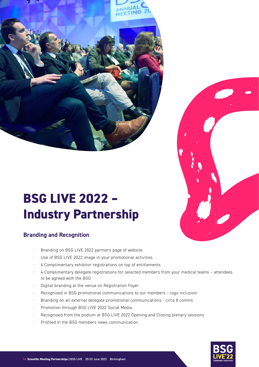



### **BSG LIVE 2022 – Industry Partnership**

#### **Branding and Recognition**

- Branding on BSG LIVE 2022 partners page of website
- Use of BSG LIVE 2022 image in your promotional activities
- 6 Complimentary exhibitor registrations on top of entitlements
- 4 Complimentary delegate registrations for selected members from your medical teams attendees to be agreed with the BSG
- Digital branding at the venue on Registration Foyer
- Recognised in BSG promotional communications to our members logo inclusion
- Branding on all external delegate promotional communications circa 8 comms
- Promotion through BSG LIVE 2022 Social Media
- Recognised from the podium at BSG LIVE 2022 Opening and Closing plenary sessions
- Profiled in the BSG members news communication

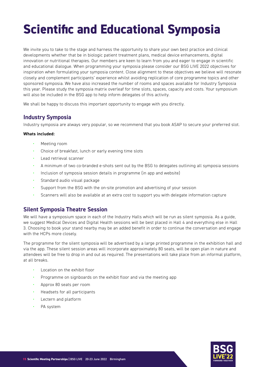### **Scientific and Educational Symposia**

We invite you to take to the stage and harness the opportunity to share your own best practice and clinical developments whether that be in biologic patient treatment plans, medical device enhancements, digital innovation or nutritional therapies. Our members are keen to learn from you and eager to engage in scientific and educational dialogue. When programming your symposia please consider our BSG LIVE 2022 objectives for inspiration when formulating your symposia content. Close alignment to these objectives we believe will resonate closely and complement participants' experience whilst avoiding replication of core programme topics and other sponsored symposia. We have also increased the number of rooms and spaces available for Industry Symposia this year. Please study the symposia matrix overleaf for time slots, spaces, capacity and costs. Your symposium will also be included in the BSG app to help inform delegates of this activity.

We shall be happy to discuss this important opportunity to engage with you directly.

#### **Industry Symposia**

Industry symposia are always very popular, so we recommend that you book ASAP to secure your preferred slot.

#### **Whats included:**

- Meeting room
- Choice of breakfast, lunch or early evening time slots
- Lead retrieval scanner
- A minimum of two co-branded e-shots sent out by the BSG to delegates outlining all symposia sessions
- Inclusion of symposia session details in programme (in app and website)
- Standard audio visual package
- Support from the BSG with the on-site promotion and advertising of your session
- Scanners will also be available at an extra cost to support you with delegate information capture

#### **Silent Symposia Theatre Session**

We will have a symposium space in each of the Industry Halls which will be run as silent symposia. As a guide, we suggest Medical Devices and Digital Health sessions will be best placed in Hall 4 and everything else in Hall 3. Choosing to book your stand nearby may be an added benefit in order to continue the conversation and engage with the HCPs more closely.

The programme for the silent symposia will be advertised by a large printed programme in the exhibition hall and via the app. These silent session areas will incorporate approximately 80 seats, will be open plan in nature and attendees will be free to drop in and out as required. The presentations will take place from an informal platform, at all breaks.

- Location on the exhibit floor
- Programme on signboards on the exhibit floor and via the meeting app
- Approx 80 seats per room
- Headsets for all participants
- Lectern and platform
- PA system

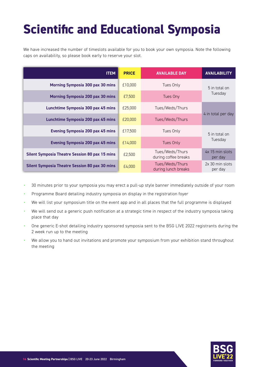### **Scientific and Educational Symposia**

We have increased the number of timeslots available for you to book your own symposia. Note the following caps on availability, so please book early to reserve your slot.

| <b>ITEM</b>                                           | <b>PRICE</b> | <b>AVAILABLE DAY</b>                    | <b>AVAILABILITY</b>        |
|-------------------------------------------------------|--------------|-----------------------------------------|----------------------------|
| Morning Symposia 300 pax 30 mins                      | £10,000      | Tues Only                               | 5 in total on              |
| <b>Morning Symposia 200 pax 30 mins</b>               | £7.500       | Tues Ony                                | Tuesday                    |
| Lunchtime Symposia 300 pax 45 mins                    | £25,000      | Tues/Weds/Thurs                         | 4 in total per day         |
| Lunchtime Symposia 200 pax 45 mins                    | £20,000      | Tues/Weds/Thurs                         |                            |
| <b>Evening Symposia 200 pax 45 mins</b>               | £17,500      | Tues Only                               | 5 in total on              |
| <b>Evening Symposia 200 pax 45 mins</b>               | £14.000      | Tues Only                               | Tuesday                    |
| <b>Silent Symposia Theatre Session 80 pax 15 mins</b> | £2,500       | Tues/Weds/Thurs<br>during coffee breaks | 4x 15 min slots<br>per day |
| <b>Silent Symposia Theatre Session 80 pax 30 mins</b> | £4,000       | Tues/Weds/Thurs<br>during lunch breaks  | 2x 30 min slots<br>per day |

- 30 minutes prior to your symposia you may erect a pull-up style banner immediately outside of your room
- Programme Board detailing industry symposia on display in the registration foyer
- We will list your symposium title on the event app and in all places that the full programme is displayed
- We will send out a generic push notification at a strategic time in respect of the industry symposia taking place that day
- One generic E-shot detailing industry sponsored symposia sent to the BSG LIVE 2022 registrants during the 2 week run up to the meeting
- We allow you to hand out invitations and promote your symposium from your exhibition stand throughout the meeting

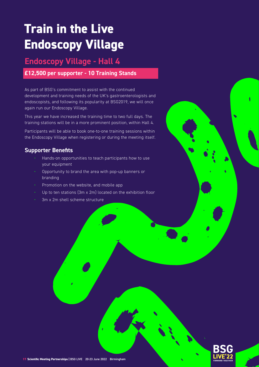### **Train in the Live Endoscopy Village**

#### **Endoscopy Village - Hall 4**

#### **£12,500 per supporter - 10 Training Stands**

As part of BSG's commitment to assist with the continued development and training needs of the UK's gastroenterologists and endoscopists, and following its popularity at BSG2019, we will once again run our Endoscopy Village.

This year we have increased the training time to two full days. The training stations will be in a more prominent position, within Hall 4.

Participants will be able to book one-to-one training sessions within the Endoscopy Village when registering or during the meeting itself.

#### **Supporter Benefits**

- Hands-on opportunities to teach participants how to use your equipment
- Opportunity to brand the area with pop-up banners or branding
- Promotion on the website, and mobile app
- Up to ten stations (3m x 2m) located on the exhibition floor
- 3m x 2m shell scheme structure

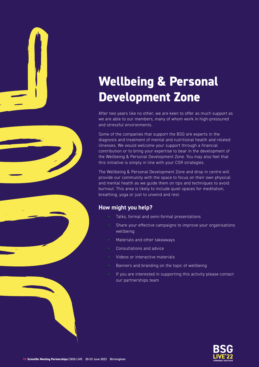





### **Wellbeing & Personal Development Zone**

After two years like no other, we are keen to offer as much support as we are able to our members, many of whom work in high-pressured and stressful environments.

Some of the companies that support the BSG are experts in the diagnosis and treatment of mental and nutritional health and related illnesses. We would welcome your support through a financial contribution or to bring your expertise to bear in the development of the Wellbeing & Personal Development Zone. You may also feel that this initiative is simply in line with your CSR strategies.

The Wellbeing & Personal Development Zone and drop in centre will provide our community with the space to focus on their own physical and mental health as we guide them on tips and techniques to avoid burnout. This area is likely to include quiet spaces for meditation, breathing, yoga or just to unwind and rest.

#### **How might you help?**

- Talks, formal and semi-formal presentations
- Share your effective campaigns to improve your organisations wellbeing
- Materials and other takeaways
- Consultations and advice
- Videos or interactive materials
- Banners and branding on the topic of wellbeing
- If you are interested in supporting this activity please contact our partnerships team

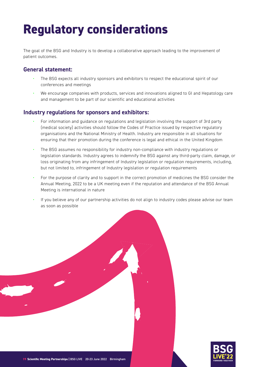### **Regulatory considerations**

The goal of the BSG and Industry is to develop a collaborative approach leading to the improvement of patient outcomes.

#### **General statement:**

- The BSG expects all industry sponsors and exhibitors to respect the educational spirit of our conferences and meetings
- We encourage companies with products, services and innovations aligned to GI and Hepatology care and management to be part of our scientific and educational activities

#### **Industry regulations for sponsors and exhibitors:**

- For information and guidance on regulations and legislation involving the support of 3rd party (medical society) activities should follow the Codes of Practice issued by respective regulatory organisations and the National Ministry of Health. Industry are responsible in all situations for ensuring that their promotion during the conference is legal and ethical in the United Kingdom
- The BSG assumes no responsibility for industry non-compliance with industry regulations or legislation standards. Industry agrees to indemnify the BSG against any third-party claim, damage, or loss originating from any infringement of Industry legislation or regulation requirements, including, but not limited to, infringement of Industry legislation or regulation requirements
- For the purpose of clarity and to support in the correct promotion of medicines the BSG consider the Annual Meeting, 2022 to be a UK meeting even if the reputation and attendance of the BSG Annual Meeting is international in nature
- If you believe any of our partnership activities do not align to industry codes please advise our team as soon as possible



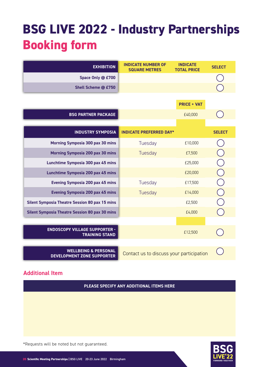### **BSG LIVE 2022 - Industry Partnerships Booking form**

| <b>EXHIBITION</b>                                                    | <b>INDICATE NUMBER OF</b><br><b>SQUARE METRES</b> | <b>INDICATE</b><br><b>TOTAL PRICE</b> | <b>SELECT</b> |
|----------------------------------------------------------------------|---------------------------------------------------|---------------------------------------|---------------|
| Space Only @ £700                                                    |                                                   |                                       |               |
| Shell Scheme @ £750                                                  |                                                   |                                       |               |
|                                                                      |                                                   | <b>PRICE + VAT</b>                    |               |
| <b>BSG PARTNER PACKAGE</b>                                           |                                                   | £40,000                               |               |
|                                                                      |                                                   |                                       |               |
| <b>INDUSTRY SYMPOSIA</b>                                             | <b>INDICATE PREFERRED DAY*</b>                    |                                       | <b>SELECT</b> |
| Morning Symposia 300 pax 30 mins                                     | Tuesday                                           | £10,000                               |               |
| Morning Symposia 200 pax 30 mins                                     | Tuesday                                           | £7,500                                |               |
| Lunchtime Symposia 300 pax 45 mins                                   |                                                   | £25,000                               |               |
| Lunchtime Symposia 200 pax 45 mins                                   |                                                   | £20,000                               |               |
| <b>Evening Symposia 200 pax 45 mins</b>                              | Tuesday                                           | £17,500                               |               |
| <b>Evening Symposia 200 pax 45 mins</b>                              | Tuesday                                           | £14,000                               |               |
| <b>Silent Symposia Theatre Session 80 pax 15 mins</b>                |                                                   | £2,500                                |               |
| <b>Silent Symposia Theatre Session 80 pax 30 mins</b>                |                                                   | £4,000                                |               |
|                                                                      |                                                   |                                       |               |
| <b>ENDOSCOPY VILLAGE SUPPORTER -</b><br><b>TRAINING STAND</b>        |                                                   | £12,500                               |               |
|                                                                      |                                                   |                                       |               |
| <b>WELLBEING &amp; PERSONAL</b><br><b>DEVELOPMENT ZONE SUPPORTER</b> | Contact us to discuss your participation          |                                       |               |

#### **Additional Item**

**PLEASE SPECIFY ANY ADDITIONAL ITEMS HERE**



\*Requests will be noted but not guaranteed.